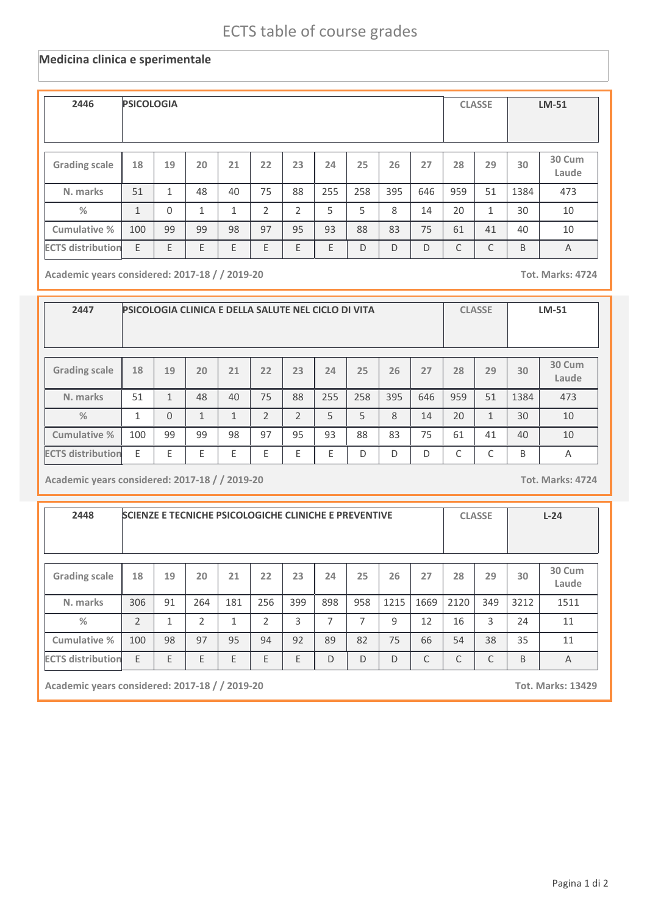## ECTS table of course grades

## **Medicina clinica e sperimentale**

| 2446                     | <b>PSICOLOGIA</b> |          |    |    | <b>CLASSE</b> |    | <b>LM-51</b> |     |     |     |     |              |      |                 |
|--------------------------|-------------------|----------|----|----|---------------|----|--------------|-----|-----|-----|-----|--------------|------|-----------------|
| <b>Grading scale</b>     | 18                | 19       | 20 | 21 | 22            | 23 | 24           | 25  | 26  | 27  | 28  | 29           | 30   | 30 Cum<br>Laude |
| N. marks                 | 51                | 1        | 48 | 40 | 75            | 88 | 255          | 258 | 395 | 646 | 959 | 51           | 1384 | 473             |
| %                        | $\mathbf{1}$      | $\Omega$ | 1  | 1  | 2             | 2  | 5            | 5   | 8   | 14  | 20  | $\mathbf{1}$ | 30   | 10              |
| Cumulative %             | 100               | 99       | 99 | 98 | 97            | 95 | 93           | 88  | 83  | 75  | 61  | 41           | 40   | 10              |
| <b>ECTS distribution</b> | E                 | E        | E  | E  | E             | E  | E            | D   | D   | D   | C   | C            | B    | A               |

**Academic years considered: 2017-18 / / 2019-20 Tot. Marks: 4724**

| 2447                     |     |          | <b>PSICOLOGIA CLINICA E DELLA SALUTE NEL CICLO DI VITA</b> |                | <b>CLASSE</b>  |               | <b>LM-51</b> |     |     |     |     |              |      |                 |
|--------------------------|-----|----------|------------------------------------------------------------|----------------|----------------|---------------|--------------|-----|-----|-----|-----|--------------|------|-----------------|
| <b>Grading scale</b>     | 18  | 19       | 20                                                         | 21             | 22             | 23            | 24           | 25  | 26  | 27  | 28  | 29           | 30   | 30 Cum<br>Laude |
| N. marks                 | 51  | 1        | 48                                                         | 40             | 75             | 88            | 255          | 258 | 395 | 646 | 959 | 51           | 1384 | 473             |
| %                        | 1   | $\Omega$ | $\overline{ }$                                             | $\overline{ }$ | $\overline{2}$ | $\mathcal{P}$ | 5            | 5   | 8   | 14  | 20  | $\mathbf{1}$ | 30   | 10              |
| Cumulative %             | 100 | 99       | 99                                                         | 98             | 97             | 95            | 93           | 88  | 83  | 75  | 61  | 41           | 40   | 10              |
| <b>ECTS distribution</b> | F   | F        | E                                                          | Ε              | E              | E             | E            | D   | D   | D   | C   | ┌            | B    | Α               |

**Academic years considered: 2017-18 / / 2019-20 Tot. Marks: 4724**

| 2448                     |                |    | <b>SCIENZE E TECNICHE PSICOLOGICHE CLINICHE E PREVENTIVE</b> |     |                | <b>CLASSE</b> |     | $L-24$ |      |      |      |     |      |                 |
|--------------------------|----------------|----|--------------------------------------------------------------|-----|----------------|---------------|-----|--------|------|------|------|-----|------|-----------------|
| <b>Grading scale</b>     | 18             | 19 | 20                                                           | 21  | 22             | 23            | 24  | 25     | 26   | 27   | 28   | 29  | 30   | 30 Cum<br>Laude |
| N. marks                 | 306            | 91 | 264                                                          | 181 | 256            | 399           | 898 | 958    | 1215 | 1669 | 2120 | 349 | 3212 | 1511            |
| $\frac{0}{2}$            | $\mathfrak{D}$ | 1  | $\overline{2}$                                               | 1   | $\overline{2}$ | 3             | 7   | ⇁      | 9    | 12   | 16   | 3   | 24   | 11              |
| Cumulative %             | 100            | 98 | 97                                                           | 95  | 94             | 92            | 89  | 82     | 75   | 66   | 54   | 38  | 35   | 11              |
| <b>ECTS distribution</b> | E              | E  | E                                                            | E   | E              | E             | D   | D      | D    | C    | C    | C   | B    | A               |

**Academic years considered: 2017-18 / / 2019-20 Tot. Marks: 13429**